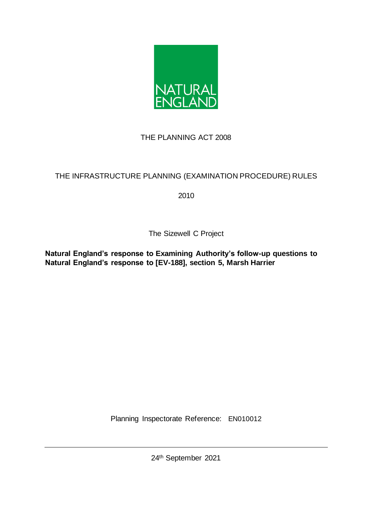

# THE PLANNING ACT 2008

# THE INFRASTRUCTURE PLANNING (EXAMINATION PROCEDURE) RULES

2010

The Sizewell C Project

**Natural England's response to Examining Authority's follow-up questions to Natural England's response to [EV-188], section 5, Marsh Harrier** 

Planning Inspectorate Reference: EN010012

24th September 2021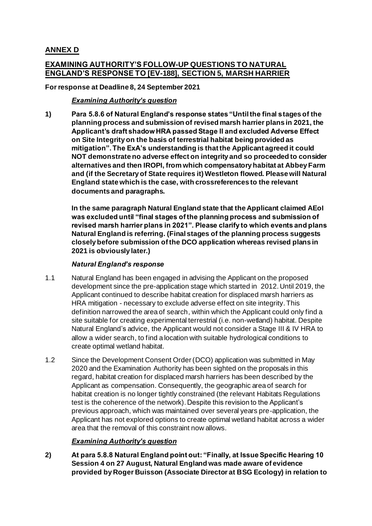## **ANNEX D**

## **EXAMINING AUTHORITY'S FOLLOW-UP QUESTIONS TO NATURAL ENGLAND'S RESPONSE TO [EV-188], SECTION 5, MARSH HARRIER**

#### **For response at Deadline 8, 24 September 2021**

### *Examining Authority's question*

**1) Para 5.8.6 of Natural England's response states "Until the final stages of the planning process and submission of revised marsh harrier plans in 2021, the Applicant's draft shadow HRA passed Stage II and excluded Adverse Effect on Site Integrity on the basis of terrestrial habitat being provided as mitigation". The ExA's understanding is that the Applicant agreed it could NOT demonstrate no adverse effect on integrity and so proceeded to consider alternatives and then IROPI, from which compensatory habitat at Abbey Farm and (if the Secretary of State requires it) Westleton flowed. Please will Natural England state which is the case, with crossreferences to the relevant documents and paragraphs.**

**In the same paragraph Natural England state that the Applicant claimed AEoI was excluded until "final stages of the planning process and submission of revised marsh harrier plans in 2021". Please clarify to which events and plans Natural England is referring. (Final stages of the planning process suggests closely before submission of the DCO application whereas revised plans in 2021 is obviously later.)**

#### *Natural England's response*

- 1.1 Natural England has been engaged in advising the Applicant on the proposed development since the pre-application stage which started in 2012. Until 2019, the Applicant continued to describe habitat creation for displaced marsh harriers as HRA mitigation - necessary to exclude adverse effect on site integrity. This definition narrowed the area of search, within which the Applicant could only find a site suitable for creating experimental terrestrial (i.e. non-wetland) habitat. Despite Natural England's advice, the Applicant would not consider a Stage III & IV HRA to allow a wider search, to find a location with suitable hydrological conditions to create optimal wetland habitat.
- 1.2 Since the Development Consent Order (DCO) application was submitted in May 2020 and the Examination Authority has been sighted on the proposals in this regard, habitat creation for displaced marsh harriers has been described by the Applicant as compensation. Consequently, the geographic area of search for habitat creation is no longer tightly constrained (the relevant Habitats Regulations test is the coherence of the network). Despite this revision to the Applicant's previous approach, which was maintained over several years pre-application, the Applicant has not explored options to create optimal wetland habitat across a wider area that the removal of this constraint now allows.

#### *Examining Authority's question*

**2) At para 5.8.8 Natural England point out: "Finally, at Issue Specific Hearing 10 Session 4 on 27 August, Natural England was made aware of evidence provided by Roger Buisson (Associate Director at BSG Ecology) in relation to**